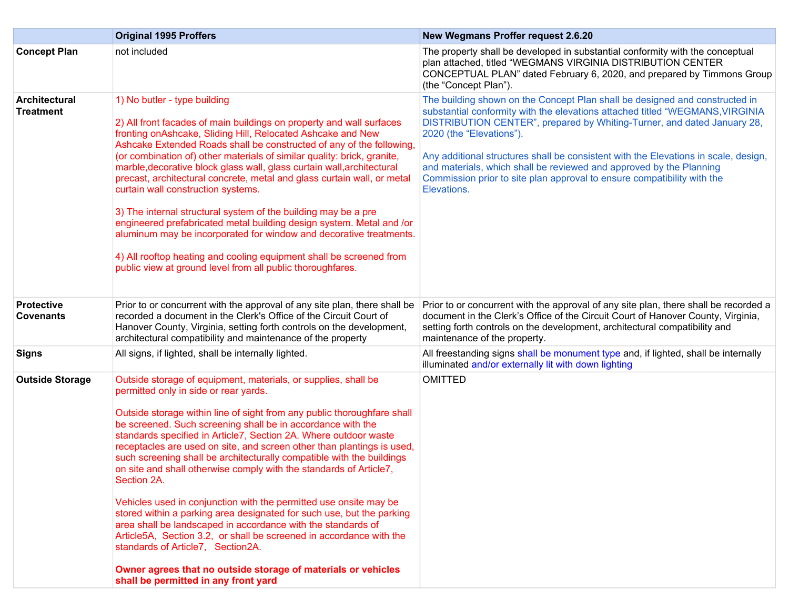|                                       | <b>Original 1995 Proffers</b>                                                                                                                                                                                                                                                                                                                                                                                                                                                                                                                                                                                                                                                                                                                                                                                                                                                                                                                                                                    | <b>New Wegmans Proffer request 2.6.20</b>                                                                                                                                                                                                                                                                                                                                                                                                                                                                                   |
|---------------------------------------|--------------------------------------------------------------------------------------------------------------------------------------------------------------------------------------------------------------------------------------------------------------------------------------------------------------------------------------------------------------------------------------------------------------------------------------------------------------------------------------------------------------------------------------------------------------------------------------------------------------------------------------------------------------------------------------------------------------------------------------------------------------------------------------------------------------------------------------------------------------------------------------------------------------------------------------------------------------------------------------------------|-----------------------------------------------------------------------------------------------------------------------------------------------------------------------------------------------------------------------------------------------------------------------------------------------------------------------------------------------------------------------------------------------------------------------------------------------------------------------------------------------------------------------------|
| <b>Concept Plan</b>                   | not included                                                                                                                                                                                                                                                                                                                                                                                                                                                                                                                                                                                                                                                                                                                                                                                                                                                                                                                                                                                     | The property shall be developed in substantial conformity with the conceptual<br>plan attached, titled "WEGMANS VIRGINIA DISTRIBUTION CENTER<br>CONCEPTUAL PLAN" dated February 6, 2020, and prepared by Timmons Group<br>(the "Concept Plan").                                                                                                                                                                                                                                                                             |
| Architectural<br><b>Treatment</b>     | 1) No butler - type building<br>2) All front facades of main buildings on property and wall surfaces<br>fronting on Ashcake, Sliding Hill, Relocated Ashcake and New<br>Ashcake Extended Roads shall be constructed of any of the following,<br>(or combination of) other materials of similar quality: brick, granite,<br>marble, decorative block glass wall, glass curtain wall, architectural<br>precast, architectural concrete, metal and glass curtain wall, or metal<br>curtain wall construction systems.<br>3) The internal structural system of the building may be a pre<br>engineered prefabricated metal building design system. Metal and /or<br>aluminum may be incorporated for window and decorative treatments.<br>4) All rooftop heating and cooling equipment shall be screened from<br>public view at ground level from all public thoroughfares.                                                                                                                          | The building shown on the Concept Plan shall be designed and constructed in<br>substantial conformity with the elevations attached titled "WEGMANS, VIRGINIA<br>DISTRIBUTION CENTER", prepared by Whiting-Turner, and dated January 28,<br>2020 (the "Elevations").<br>Any additional structures shall be consistent with the Elevations in scale, design,<br>and materials, which shall be reviewed and approved by the Planning<br>Commission prior to site plan approval to ensure compatibility with the<br>Elevations. |
| <b>Protective</b><br><b>Covenants</b> | Prior to or concurrent with the approval of any site plan, there shall be<br>recorded a document in the Clerk's Office of the Circuit Court of<br>Hanover County, Virginia, setting forth controls on the development,<br>architectural compatibility and maintenance of the property                                                                                                                                                                                                                                                                                                                                                                                                                                                                                                                                                                                                                                                                                                            | Prior to or concurrent with the approval of any site plan, there shall be recorded a<br>document in the Clerk's Office of the Circuit Court of Hanover County, Virginia,<br>setting forth controls on the development, architectural compatibility and<br>maintenance of the property.                                                                                                                                                                                                                                      |
| <b>Signs</b>                          | All signs, if lighted, shall be internally lighted.                                                                                                                                                                                                                                                                                                                                                                                                                                                                                                                                                                                                                                                                                                                                                                                                                                                                                                                                              | All freestanding signs shall be monument type and, if lighted, shall be internally<br>illuminated and/or externally lit with down lighting                                                                                                                                                                                                                                                                                                                                                                                  |
| <b>Outside Storage</b>                | Outside storage of equipment, materials, or supplies, shall be<br>permitted only in side or rear yards.<br>Outside storage within line of sight from any public thoroughfare shall<br>be screened. Such screening shall be in accordance with the<br>standards specified in Article7, Section 2A. Where outdoor waste<br>receptacles are used on site, and screen other than plantings is used,<br>such screening shall be architecturally compatible with the buildings<br>on site and shall otherwise comply with the standards of Article7,<br>Section 2A.<br>Vehicles used in conjunction with the permitted use onsite may be<br>stored within a parking area designated for such use, but the parking<br>area shall be landscaped in accordance with the standards of<br>Article5A, Section 3.2, or shall be screened in accordance with the<br>standards of Article7, Section2A.<br>Owner agrees that no outside storage of materials or vehicles<br>shall be permitted in any front yard | <b>OMITTED</b>                                                                                                                                                                                                                                                                                                                                                                                                                                                                                                              |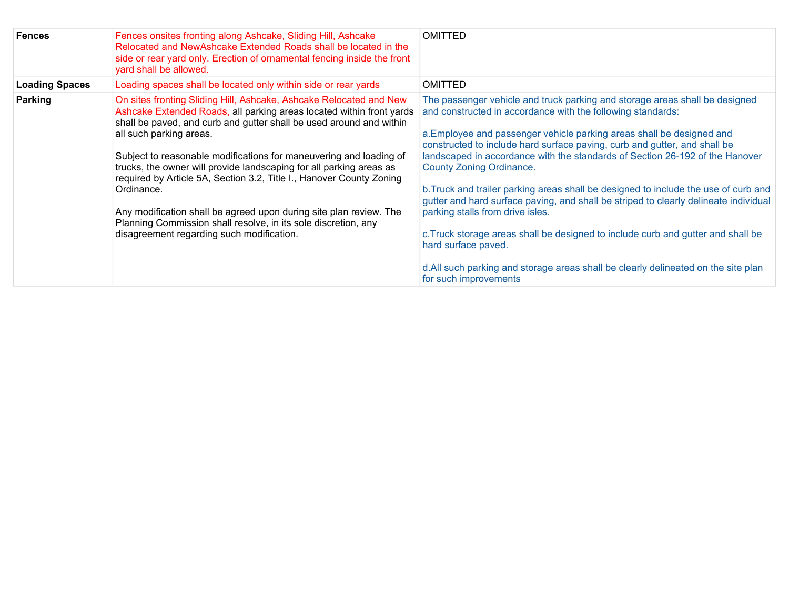| <b>Fences</b>         | Fences onsites fronting along Ashcake, Sliding Hill, Ashcake<br>Relocated and NewAshcake Extended Roads shall be located in the<br>side or rear yard only. Erection of ornamental fencing inside the front<br>yard shall be allowed.                                                                                                                                                                                                                                                                                                                                                                                                                                 | <b>OMITTED</b>                                                                                                                                                                                                                                                                                                                                                                                                                                                                                                                                                                                                                                                                                                                                                                                                                                            |
|-----------------------|----------------------------------------------------------------------------------------------------------------------------------------------------------------------------------------------------------------------------------------------------------------------------------------------------------------------------------------------------------------------------------------------------------------------------------------------------------------------------------------------------------------------------------------------------------------------------------------------------------------------------------------------------------------------|-----------------------------------------------------------------------------------------------------------------------------------------------------------------------------------------------------------------------------------------------------------------------------------------------------------------------------------------------------------------------------------------------------------------------------------------------------------------------------------------------------------------------------------------------------------------------------------------------------------------------------------------------------------------------------------------------------------------------------------------------------------------------------------------------------------------------------------------------------------|
| <b>Loading Spaces</b> | Loading spaces shall be located only within side or rear yards                                                                                                                                                                                                                                                                                                                                                                                                                                                                                                                                                                                                       | <b>OMITTED</b>                                                                                                                                                                                                                                                                                                                                                                                                                                                                                                                                                                                                                                                                                                                                                                                                                                            |
| <b>Parking</b>        | On sites fronting Sliding Hill, Ashcake, Ashcake Relocated and New<br>Ashcake Extended Roads, all parking areas located within front yards<br>shall be paved, and curb and gutter shall be used around and within<br>all such parking areas.<br>Subject to reasonable modifications for maneuvering and loading of<br>trucks, the owner will provide landscaping for all parking areas as<br>required by Article 5A, Section 3.2, Title I., Hanover County Zoning<br>Ordinance.<br>Any modification shall be agreed upon during site plan review. The<br>Planning Commission shall resolve, in its sole discretion, any<br>disagreement regarding such modification. | The passenger vehicle and truck parking and storage areas shall be designed<br>and constructed in accordance with the following standards:<br>a. Employee and passenger vehicle parking areas shall be designed and<br>constructed to include hard surface paving, curb and gutter, and shall be<br>landscaped in accordance with the standards of Section 26-192 of the Hanover<br>County Zoning Ordinance.<br>b. Truck and trailer parking areas shall be designed to include the use of curb and<br>gutter and hard surface paving, and shall be striped to clearly delineate individual<br>parking stalls from drive isles.<br>c. Truck storage areas shall be designed to include curb and gutter and shall be<br>hard surface paved.<br>d. All such parking and storage areas shall be clearly delineated on the site plan<br>for such improvements |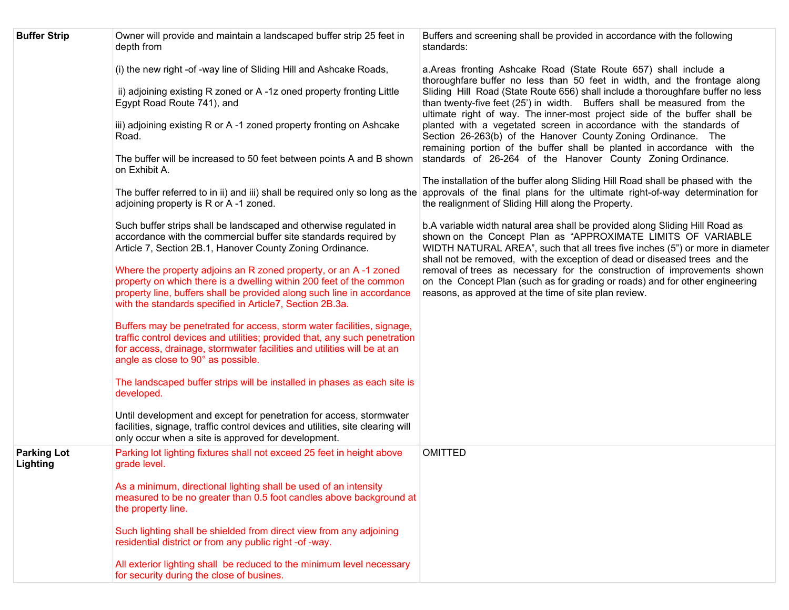| <b>Buffer Strip</b>            | Owner will provide and maintain a landscaped buffer strip 25 feet in<br>depth from                                                                                                                                                                                           | Buffers and screening shall be provided in accordance with the following<br>standards:                                                                                                                                                                                                                      |
|--------------------------------|------------------------------------------------------------------------------------------------------------------------------------------------------------------------------------------------------------------------------------------------------------------------------|-------------------------------------------------------------------------------------------------------------------------------------------------------------------------------------------------------------------------------------------------------------------------------------------------------------|
|                                | (i) the new right -of -way line of Sliding Hill and Ashcake Roads,                                                                                                                                                                                                           | a.Areas fronting Ashcake Road (State Route 657) shall include a<br>thoroughfare buffer no less than 50 feet in width, and the frontage along                                                                                                                                                                |
|                                | ii) adjoining existing R zoned or A-1z oned property fronting Little<br>Egypt Road Route 741), and                                                                                                                                                                           | Sliding Hill Road (State Route 656) shall include a thoroughfare buffer no less<br>than twenty-five feet (25') in width. Buffers shall be measured from the<br>ultimate right of way. The inner-most project side of the buffer shall be                                                                    |
|                                | iii) adjoining existing R or A-1 zoned property fronting on Ashcake<br>Road.                                                                                                                                                                                                 | planted with a vegetated screen in accordance with the standards of<br>Section 26-263(b) of the Hanover County Zoning Ordinance. The<br>remaining portion of the buffer shall be planted in accordance with the                                                                                             |
|                                | The buffer will be increased to 50 feet between points A and B shown<br>on Exhibit A.                                                                                                                                                                                        | standards of 26-264 of the Hanover County Zoning Ordinance.                                                                                                                                                                                                                                                 |
|                                | adjoining property is R or A-1 zoned.                                                                                                                                                                                                                                        | The installation of the buffer along Sliding Hill Road shall be phased with the<br>The buffer referred to in ii) and iii) shall be required only so long as the approvals of the final plans for the ultimate right-of-way determination for<br>the realignment of Sliding Hill along the Property.         |
|                                | Such buffer strips shall be landscaped and otherwise regulated in<br>accordance with the commercial buffer site standards required by<br>Article 7, Section 2B.1, Hanover County Zoning Ordinance.                                                                           | b.A variable width natural area shall be provided along Sliding Hill Road as<br>shown on the Concept Plan as "APPROXIMATE LIMITS OF VARIABLE<br>WIDTH NATURAL AREA", such that all trees five inches (5") or more in diameter<br>shall not be removed, with the exception of dead or diseased trees and the |
|                                | Where the property adjoins an R zoned property, or an A-1 zoned<br>property on which there is a dwelling within 200 feet of the common<br>property line, buffers shall be provided along such line in accordance<br>with the standards specified in Article7, Section 2B.3a. | removal of trees as necessary for the construction of improvements shown<br>on the Concept Plan (such as for grading or roads) and for other engineering<br>reasons, as approved at the time of site plan review.                                                                                           |
|                                | Buffers may be penetrated for access, storm water facilities, signage,<br>traffic control devices and utilities; provided that, any such penetration<br>for access, drainage, stormwater facilities and utilities will be at an<br>angle as close to 90° as possible.        |                                                                                                                                                                                                                                                                                                             |
|                                | The landscaped buffer strips will be installed in phases as each site is<br>developed.                                                                                                                                                                                       |                                                                                                                                                                                                                                                                                                             |
|                                | Until development and except for penetration for access, stormwater<br>facilities, signage, traffic control devices and utilities, site clearing will<br>only occur when a site is approved for development.                                                                 |                                                                                                                                                                                                                                                                                                             |
| <b>Parking Lot</b><br>Lighting | Parking lot lighting fixtures shall not exceed 25 feet in height above<br>grade level.                                                                                                                                                                                       | <b>OMITTED</b>                                                                                                                                                                                                                                                                                              |
|                                | As a minimum, directional lighting shall be used of an intensity<br>measured to be no greater than 0.5 foot candles above background at<br>the property line.                                                                                                                |                                                                                                                                                                                                                                                                                                             |
|                                | Such lighting shall be shielded from direct view from any adjoining<br>residential district or from any public right -of -way.                                                                                                                                               |                                                                                                                                                                                                                                                                                                             |
|                                | All exterior lighting shall be reduced to the minimum level necessary<br>for security during the close of busines.                                                                                                                                                           |                                                                                                                                                                                                                                                                                                             |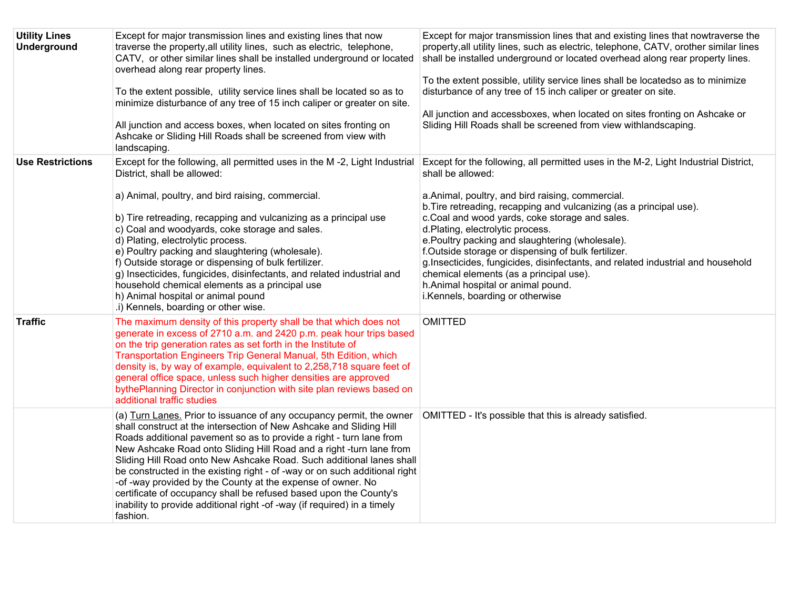| <b>Utility Lines</b><br><b>Underground</b> | Except for major transmission lines and existing lines that now<br>traverse the property, all utility lines, such as electric, telephone,<br>CATV, or other similar lines shall be installed underground or located<br>overhead along rear property lines.<br>To the extent possible, utility service lines shall be located so as to<br>minimize disturbance of any tree of 15 inch caliper or greater on site.<br>All junction and access boxes, when located on sites fronting on<br>Ashcake or Sliding Hill Roads shall be screened from view with<br>landscaping.                                                                                                      | Except for major transmission lines that and existing lines that nowtraverse the<br>property, all utility lines, such as electric, telephone, CATV, orother similar lines<br>shall be installed underground or located overhead along rear property lines.<br>To the extent possible, utility service lines shall be locatedso as to minimize<br>disturbance of any tree of 15 inch caliper or greater on site.<br>All junction and accessboxes, when located on sites fronting on Ashcake or<br>Sliding Hill Roads shall be screened from view withlandscaping.                                                                             |
|--------------------------------------------|-----------------------------------------------------------------------------------------------------------------------------------------------------------------------------------------------------------------------------------------------------------------------------------------------------------------------------------------------------------------------------------------------------------------------------------------------------------------------------------------------------------------------------------------------------------------------------------------------------------------------------------------------------------------------------|----------------------------------------------------------------------------------------------------------------------------------------------------------------------------------------------------------------------------------------------------------------------------------------------------------------------------------------------------------------------------------------------------------------------------------------------------------------------------------------------------------------------------------------------------------------------------------------------------------------------------------------------|
| <b>Use Restrictions</b>                    | Except for the following, all permitted uses in the M-2, Light Industrial<br>District, shall be allowed:<br>a) Animal, poultry, and bird raising, commercial.<br>b) Tire retreading, recapping and vulcanizing as a principal use<br>c) Coal and woodyards, coke storage and sales.<br>d) Plating, electrolytic process.<br>e) Poultry packing and slaughtering (wholesale).<br>f) Outside storage or dispensing of bulk fertilizer.<br>g) Insecticides, fungicides, disinfectants, and related industrial and<br>household chemical elements as a principal use<br>h) Animal hospital or animal pound<br>.i) Kennels, boarding or other wise.                              | Except for the following, all permitted uses in the M-2, Light Industrial District,<br>shall be allowed:<br>a.Animal, poultry, and bird raising, commercial.<br>b. Tire retreading, recapping and vulcanizing (as a principal use).<br>c.Coal and wood yards, coke storage and sales.<br>d.Plating, electrolytic process.<br>e. Poultry packing and slaughtering (wholesale).<br>f.Outside storage or dispensing of bulk fertilizer.<br>g.Insecticides, fungicides, disinfectants, and related industrial and household<br>chemical elements (as a principal use).<br>h.Animal hospital or animal pound.<br>i.Kennels, boarding or otherwise |
| <b>Traffic</b>                             | The maximum density of this property shall be that which does not<br>generate in excess of 2710 a.m. and 2420 p.m. peak hour trips based<br>on the trip generation rates as set forth in the Institute of<br>Transportation Engineers Trip General Manual, 5th Edition, which<br>density is, by way of example, equivalent to 2,258,718 square feet of<br>general office space, unless such higher densities are approved<br>bythePlanning Director in conjunction with site plan reviews based on<br>additional traffic studies                                                                                                                                            | <b>OMITTED</b>                                                                                                                                                                                                                                                                                                                                                                                                                                                                                                                                                                                                                               |
|                                            | (a) Turn Lanes. Prior to issuance of any occupancy permit, the owner<br>shall construct at the intersection of New Ashcake and Sliding Hill<br>Roads additional pavement so as to provide a right - turn lane from<br>New Ashcake Road onto Sliding Hill Road and a right -turn lane from<br>Sliding Hill Road onto New Ashcake Road. Such additional lanes shall<br>be constructed in the existing right - of -way or on such additional right<br>-of -way provided by the County at the expense of owner. No<br>certificate of occupancy shall be refused based upon the County's<br>inability to provide additional right -of -way (if required) in a timely<br>fashion. | OMITTED - It's possible that this is already satisfied.                                                                                                                                                                                                                                                                                                                                                                                                                                                                                                                                                                                      |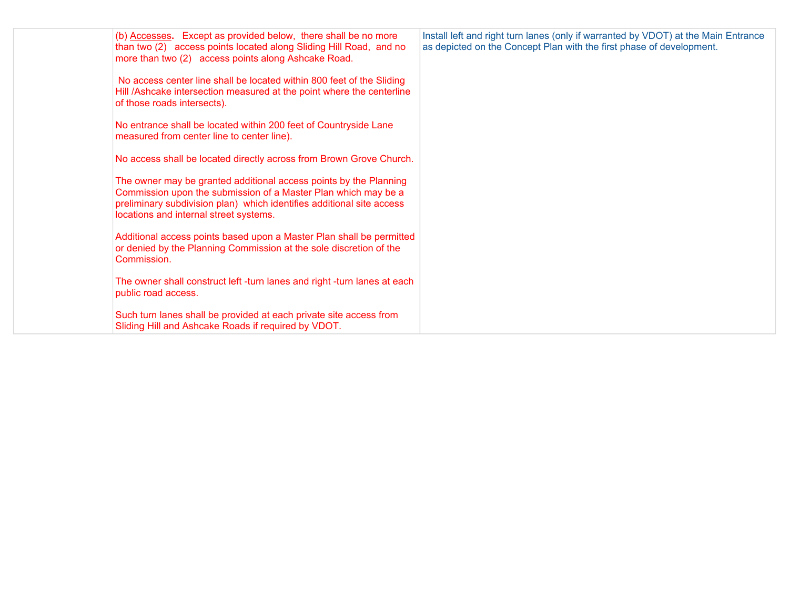| (b) Accesses. Except as provided below, there shall be no more                                                                                                                                                                                         | Install left and right turn lanes (only if warranted by VDOT) at the Main Entrance |
|--------------------------------------------------------------------------------------------------------------------------------------------------------------------------------------------------------------------------------------------------------|------------------------------------------------------------------------------------|
| than two (2) access points located along Sliding Hill Road, and no<br>more than two (2) access points along Ashcake Road.                                                                                                                              | as depicted on the Concept Plan with the first phase of development.               |
| No access center line shall be located within 800 feet of the Sliding<br>Hill /Ashcake intersection measured at the point where the centerline<br>of those roads intersects).                                                                          |                                                                                    |
| No entrance shall be located within 200 feet of Countryside Lane<br>measured from center line to center line).                                                                                                                                         |                                                                                    |
| No access shall be located directly across from Brown Grove Church.                                                                                                                                                                                    |                                                                                    |
| The owner may be granted additional access points by the Planning<br>Commission upon the submission of a Master Plan which may be a<br>preliminary subdivision plan) which identifies additional site access<br>locations and internal street systems. |                                                                                    |
| Additional access points based upon a Master Plan shall be permitted<br>or denied by the Planning Commission at the sole discretion of the<br>Commission.                                                                                              |                                                                                    |
| The owner shall construct left -turn lanes and right -turn lanes at each<br>public road access.                                                                                                                                                        |                                                                                    |
| Such turn lanes shall be provided at each private site access from<br>Sliding Hill and Ashcake Roads if required by VDOT.                                                                                                                              |                                                                                    |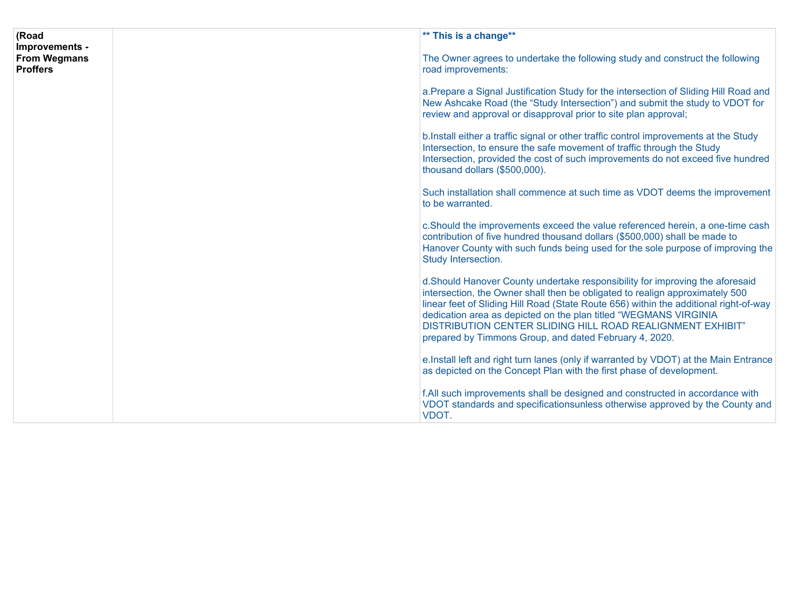| (Road                                                    | ** This is a change**                                                                                                                                                                                                                                                                                                                                                                                                                             |  |
|----------------------------------------------------------|---------------------------------------------------------------------------------------------------------------------------------------------------------------------------------------------------------------------------------------------------------------------------------------------------------------------------------------------------------------------------------------------------------------------------------------------------|--|
| Improvements -<br><b>From Wegmans</b><br><b>Proffers</b> | The Owner agrees to undertake the following study and construct the following<br>road improvements:                                                                                                                                                                                                                                                                                                                                               |  |
|                                                          | a. Prepare a Signal Justification Study for the intersection of Sliding Hill Road and<br>New Ashcake Road (the "Study Intersection") and submit the study to VDOT for<br>review and approval or disapproval prior to site plan approval;                                                                                                                                                                                                          |  |
|                                                          | b. Install either a traffic signal or other traffic control improvements at the Study<br>Intersection, to ensure the safe movement of traffic through the Study<br>Intersection, provided the cost of such improvements do not exceed five hundred<br>thousand dollars (\$500,000).                                                                                                                                                               |  |
|                                                          | Such installation shall commence at such time as VDOT deems the improvement<br>to be warranted.                                                                                                                                                                                                                                                                                                                                                   |  |
|                                                          | c.Should the improvements exceed the value referenced herein, a one-time cash<br>contribution of five hundred thousand dollars (\$500,000) shall be made to<br>Hanover County with such funds being used for the sole purpose of improving the<br>Study Intersection.                                                                                                                                                                             |  |
|                                                          | d.Should Hanover County undertake responsibility for improving the aforesaid<br>intersection, the Owner shall then be obligated to realign approximately 500<br>linear feet of Sliding Hill Road (State Route 656) within the additional right-of-way<br>dedication area as depicted on the plan titled "WEGMANS VIRGINIA<br>DISTRIBUTION CENTER SLIDING HILL ROAD REALIGNMENT EXHIBIT"<br>prepared by Timmons Group, and dated February 4, 2020. |  |
|                                                          | e. Install left and right turn lanes (only if warranted by VDOT) at the Main Entrance<br>as depicted on the Concept Plan with the first phase of development.                                                                                                                                                                                                                                                                                     |  |
|                                                          | f.All such improvements shall be designed and constructed in accordance with<br>VDOT standards and specificationsunless otherwise approved by the County and<br>VDOT.                                                                                                                                                                                                                                                                             |  |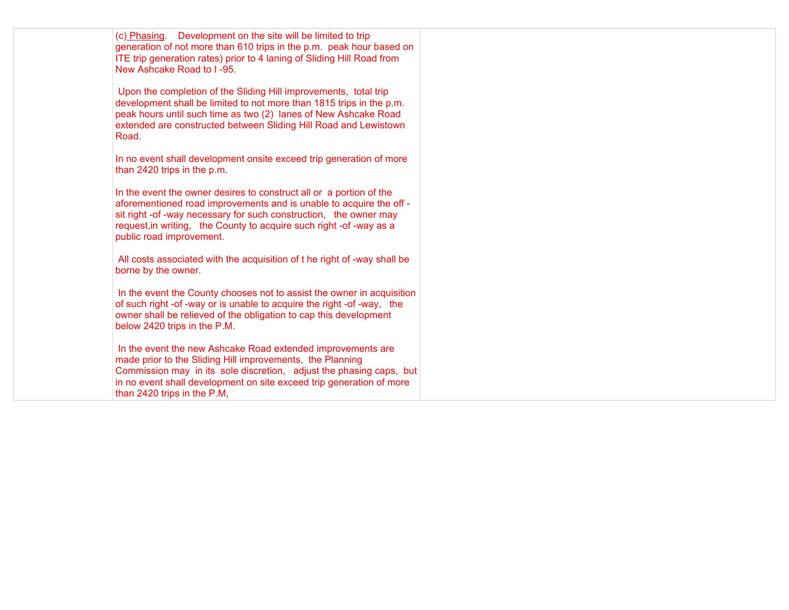| (c) Phasing. Development on the site will be limited to trip<br>generation of not more than 610 trips in the p.m. peak hour based on<br>ITE trip generation rates) prior to 4 laning of Sliding Hill Road from<br>New Ashcake Road to I-95.                                                                        |
|--------------------------------------------------------------------------------------------------------------------------------------------------------------------------------------------------------------------------------------------------------------------------------------------------------------------|
| Upon the completion of the Sliding Hill improvements, total trip<br>development shall be limited to not more than 1815 trips in the p.m.<br>peak hours until such time as two (2) lanes of New Ashcake Road<br>extended are constructed between Sliding Hill Road and Lewistown<br>Road.                           |
| In no event shall development onsite exceed trip generation of more<br>than 2420 trips in the p.m.                                                                                                                                                                                                                 |
| In the event the owner desires to construct all or a portion of the<br>aforementioned road improvements and is unable to acquire the off -<br>sit right -of -way necessary for such construction, the owner may<br>request, in writing, the County to acquire such right -of -way as a<br>public road improvement. |
| All costs associated with the acquisition of t he right of -way shall be<br>borne by the owner.                                                                                                                                                                                                                    |
| In the event the County chooses not to assist the owner in acquisition<br>of such right -of -way or is unable to acquire the right -of -way, the<br>owner shall be relieved of the obligation to cap this development<br>below 2420 trips in the P.M.                                                              |
| In the event the new Ashcake Road extended improvements are<br>made prior to the Sliding Hill improvements, the Planning<br>Commission may in its sole discretion, adjust the phasing caps, but<br>in no event shall development on site exceed trip generation of more<br>than 2420 trips in the P.M,             |